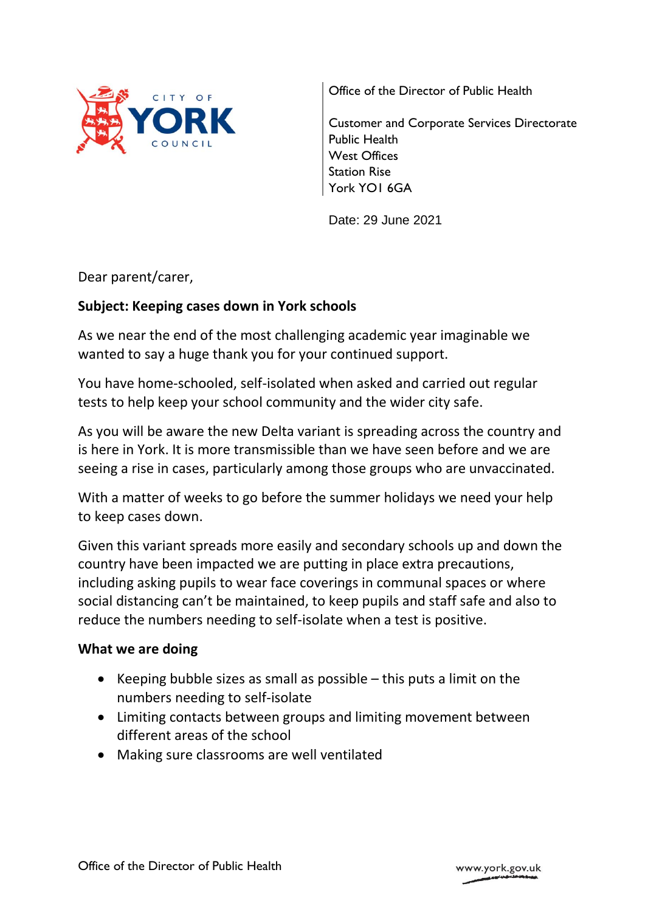

Office of the Director of Public Health

Customer and Corporate Services Directorate Public Health West Offices Station Rise York YO1 6GA

Date: 29 June 2021

Dear parent/carer,

## **Subject: Keeping cases down in York schools**

As we near the end of the most challenging academic year imaginable we wanted to say a huge thank you for your continued support.

You have home-schooled, self-isolated when asked and carried out regular tests to help keep your school community and the wider city safe.

As you will be aware the new Delta variant is spreading across the country and is here in York. It is more transmissible than we have seen before and we are seeing a rise in cases, particularly among those groups who are unvaccinated.

With a matter of weeks to go before the summer holidays we need your help to keep cases down.

Given this variant spreads more easily and secondary schools up and down the country have been impacted we are putting in place extra precautions, including asking pupils to wear face coverings in communal spaces or where social distancing can't be maintained, to keep pupils and staff safe and also to reduce the numbers needing to self-isolate when a test is positive.

#### **What we are doing**

- Exercing bubble sizes as small as possible  $-$  this puts a limit on the numbers needing to self-isolate
- Limiting contacts between groups and limiting movement between different areas of the school
- Making sure classrooms are well ventilated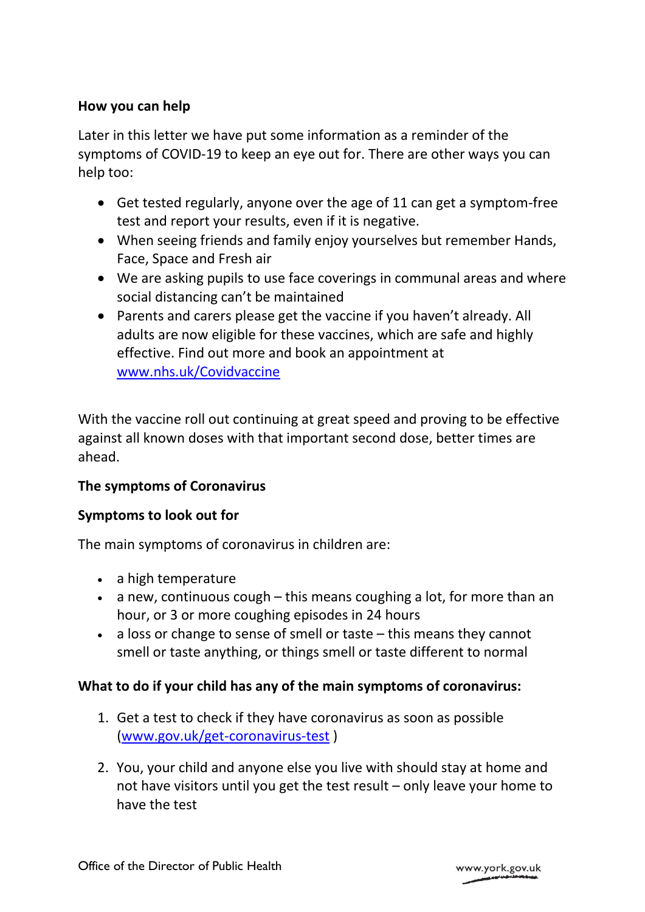# **How you can help**

Later in this letter we have put some information as a reminder of the symptoms of COVID-19 to keep an eye out for. There are other ways you can help too:

- Get tested regularly, anyone over the age of 11 can get a symptom-free test and report your results, even if it is negative.
- When seeing friends and family enjoy yourselves but remember Hands, Face, Space and Fresh air
- We are asking pupils to use face coverings in communal areas and where social distancing can't be maintained
- Parents and carers please get the vaccine if you haven't already. All adults are now eligible for these vaccines, which are safe and highly effective. Find out more and book an appointment at [www.nhs.uk/Covidvaccine](http://www.nhs.uk/Covidvaccine)

With the vaccine roll out continuing at great speed and proving to be effective against all known doses with that important second dose, better times are ahead.

## **The symptoms of Coronavirus**

## **Symptoms to look out for**

The main symptoms of coronavirus in children are:

- a high temperature
- $\bullet$  a new, continuous cough this means coughing a lot, for more than an hour, or 3 or more coughing episodes in 24 hours
- a loss or change to sense of smell or taste this means they cannot smell or taste anything, or things smell or taste different to normal

## **What to do if your child has any of the main symptoms of coronavirus:**

- 1. Get a test to check if they have coronavirus as soon as possible [\(www.gov.uk/get-coronavirus-test](http://www.gov.uk/get-coronavirus-test) )
- 2. You, your child and anyone else you live with should stay at home and not have visitors until you get the test result – only leave your home to have the test